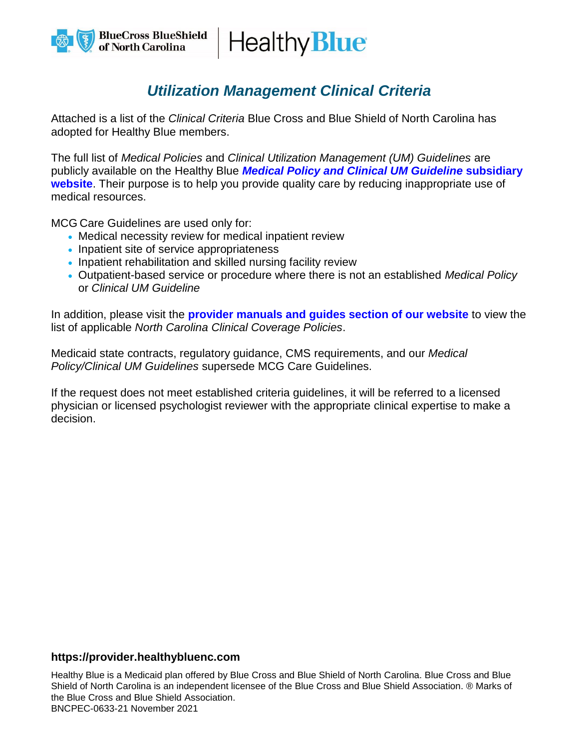Healthy **Blue** 

## *Utilization Management Clinical Criteria*

Attached is a list of the *Clinical Criteria* Blue Cross and Blue Shield of North Carolina has adopted for Healthy Blue members.

The full list of *Medical Policies* and *Clinical Utilization Management (UM) Guidelines* are publicly available on the Healthy Blue *[Medical Policy and Clinical UM Guideline](https://provider.healthybluenc.com/north-carolina-provider/medical-policies-and-clinical-guidelines)* **subsidiary [website](https://provider.healthybluenc.com/north-carolina-provider/medical-policies-and-clinical-guidelines)**. Their purpose is to help you provide quality care by reducing inappropriate use of medical resources.

MCG Care Guidelines are used only for:

- Medical necessity review for medical inpatient review
- Inpatient site of service appropriateness
- Inpatient rehabilitation and skilled nursing facility review
- Outpatient-based service or procedure where there is not an established *Medical Policy* or *Clinical UM Guideline*

In addition, please visit the **[provider manuals and guides section of our website](https://provider.healthybluenc.com/north-carolina-provider/manuals-and-guides)** to view the list of applicable *North Carolina Clinical Coverage Policies*.

Medicaid state contracts, regulatory guidance, CMS requirements, and our *Medical Policy/Clinical UM Guidelines* supersede MCG Care Guidelines.

If the request does not meet established criteria guidelines, it will be referred to a licensed physician or licensed psychologist reviewer with the appropriate clinical expertise to make a decision.

## **https://provider.healthybluenc.com**

Healthy Blue is a Medicaid plan offered by Blue Cross and Blue Shield of North Carolina. Blue Cross and Blue Shield of North Carolina is an independent licensee of the Blue Cross and Blue Shield Association. ® Marks of the Blue Cross and Blue Shield Association. BNCPEC-0633-21 November 2021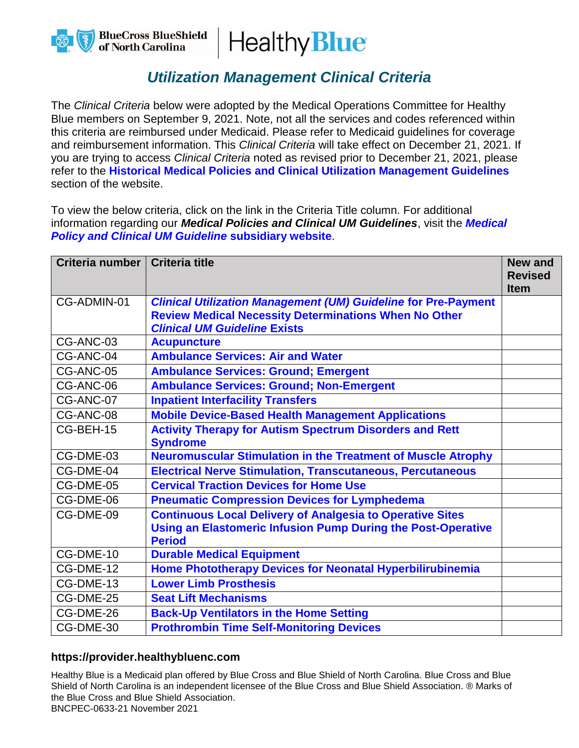



## *Utilization Management Clinical Criteria*

The *Clinical Criteria* below were adopted by the Medical Operations Committee for Healthy Blue members on September 9, 2021. Note, not all the services and codes referenced within this criteria are reimbursed under Medicaid. Please refer to Medicaid guidelines for coverage and reimbursement information. This *Clinical Criteria* will take effect on December 21, 2021. If you are trying to access *Clinical Criteria* noted as revised prior to December 21, 2021, please refer to the **[Historical Medical Policies and Clinical Utilization Management Guidelines](https://provider.healthybluenc.com/north-carolina-provider/medical-policies-and-clinical-guidelines-historical)** section of the website.

To view the below criteria, click on the link in the Criteria Title column. For additional information regarding our *Medical Policies and Clinical UM Guidelines*, visit the *[Medical](https://provider.healthybluenc.com/north-carolina-provider/medical-policies-and-clinical-guidelines)  [Policy and Clinical UM Guideline](https://provider.healthybluenc.com/north-carolina-provider/medical-policies-and-clinical-guidelines)* **subsidiary website**.

| Criteria number   Criteria title |                                                                                                                                                          | <b>New and</b><br><b>Revised</b><br><b>Item</b> |
|----------------------------------|----------------------------------------------------------------------------------------------------------------------------------------------------------|-------------------------------------------------|
| CG-ADMIN-01                      | <b>Clinical Utilization Management (UM) Guideline for Pre-Payment</b>                                                                                    |                                                 |
|                                  | <b>Review Medical Necessity Determinations When No Other</b>                                                                                             |                                                 |
|                                  | <b>Clinical UM Guideline Exists</b>                                                                                                                      |                                                 |
| CG-ANC-03                        | <b>Acupuncture</b>                                                                                                                                       |                                                 |
| CG-ANC-04                        | <b>Ambulance Services: Air and Water</b>                                                                                                                 |                                                 |
| CG-ANC-05                        | <b>Ambulance Services: Ground; Emergent</b>                                                                                                              |                                                 |
| CG-ANC-06                        | <b>Ambulance Services: Ground; Non-Emergent</b>                                                                                                          |                                                 |
| CG-ANC-07                        | <b>Inpatient Interfacility Transfers</b>                                                                                                                 |                                                 |
| CG-ANC-08                        | <b>Mobile Device-Based Health Management Applications</b>                                                                                                |                                                 |
| CG-BEH-15                        | <b>Activity Therapy for Autism Spectrum Disorders and Rett</b><br><b>Syndrome</b>                                                                        |                                                 |
| CG-DME-03                        | <b>Neuromuscular Stimulation in the Treatment of Muscle Atrophy</b>                                                                                      |                                                 |
| CG-DME-04                        | <b>Electrical Nerve Stimulation, Transcutaneous, Percutaneous</b>                                                                                        |                                                 |
| CG-DME-05                        | <b>Cervical Traction Devices for Home Use</b>                                                                                                            |                                                 |
| CG-DME-06                        | <b>Pneumatic Compression Devices for Lymphedema</b>                                                                                                      |                                                 |
| CG-DME-09                        | <b>Continuous Local Delivery of Analgesia to Operative Sites</b><br><b>Using an Elastomeric Infusion Pump During the Post-Operative</b><br><b>Period</b> |                                                 |
| CG-DME-10                        | <b>Durable Medical Equipment</b>                                                                                                                         |                                                 |
| CG-DME-12                        | Home Phototherapy Devices for Neonatal Hyperbilirubinemia                                                                                                |                                                 |
| CG-DME-13                        | <b>Lower Limb Prosthesis</b>                                                                                                                             |                                                 |
| CG-DME-25                        | <b>Seat Lift Mechanisms</b>                                                                                                                              |                                                 |
| CG-DME-26                        | <b>Back-Up Ventilators in the Home Setting</b>                                                                                                           |                                                 |
| CG-DME-30                        | <b>Prothrombin Time Self-Monitoring Devices</b>                                                                                                          |                                                 |

## **https://provider.healthybluenc.com**

Healthy Blue is a Medicaid plan offered by Blue Cross and Blue Shield of North Carolina. Blue Cross and Blue Shield of North Carolina is an independent licensee of the Blue Cross and Blue Shield Association. ® Marks of the Blue Cross and Blue Shield Association.

BNCPEC-0633-21 November 2021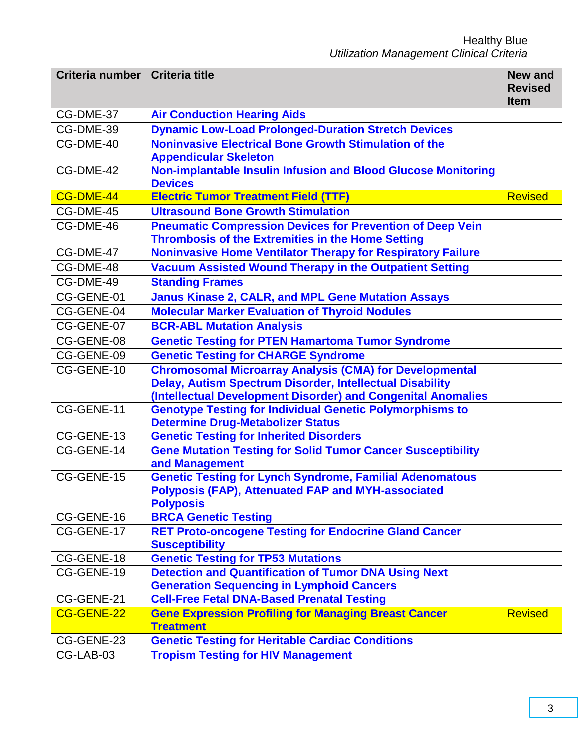| Criteria number   Criteria title |                                                                                                                                                  | <b>New and</b><br><b>Revised</b> |
|----------------------------------|--------------------------------------------------------------------------------------------------------------------------------------------------|----------------------------------|
|                                  |                                                                                                                                                  | <b>Item</b>                      |
| CG-DME-37                        | <b>Air Conduction Hearing Aids</b>                                                                                                               |                                  |
| CG-DME-39                        | <b>Dynamic Low-Load Prolonged-Duration Stretch Devices</b>                                                                                       |                                  |
| CG-DME-40                        | <b>Noninvasive Electrical Bone Growth Stimulation of the</b><br><b>Appendicular Skeleton</b>                                                     |                                  |
| CG-DME-42                        | Non-implantable Insulin Infusion and Blood Glucose Monitoring<br><b>Devices</b>                                                                  |                                  |
| CG-DME-44                        | <b>Electric Tumor Treatment Field (TTF)</b>                                                                                                      | <b>Revised</b>                   |
| CG-DME-45                        | <b>Ultrasound Bone Growth Stimulation</b>                                                                                                        |                                  |
| CG-DME-46                        | <b>Pneumatic Compression Devices for Prevention of Deep Vein</b><br><b>Thrombosis of the Extremities in the Home Setting</b>                     |                                  |
| CG-DME-47                        | <b>Noninvasive Home Ventilator Therapy for Respiratory Failure</b>                                                                               |                                  |
| CG-DME-48                        | <b>Vacuum Assisted Wound Therapy in the Outpatient Setting</b>                                                                                   |                                  |
| CG-DME-49                        | <b>Standing Frames</b>                                                                                                                           |                                  |
| CG-GENE-01                       | <b>Janus Kinase 2, CALR, and MPL Gene Mutation Assays</b>                                                                                        |                                  |
| CG-GENE-04                       | <b>Molecular Marker Evaluation of Thyroid Nodules</b>                                                                                            |                                  |
| CG-GENE-07                       | <b>BCR-ABL Mutation Analysis</b>                                                                                                                 |                                  |
| CG-GENE-08                       | <b>Genetic Testing for PTEN Hamartoma Tumor Syndrome</b>                                                                                         |                                  |
| CG-GENE-09                       | <b>Genetic Testing for CHARGE Syndrome</b>                                                                                                       |                                  |
| CG-GENE-10                       | <b>Chromosomal Microarray Analysis (CMA) for Developmental</b>                                                                                   |                                  |
|                                  | <b>Delay, Autism Spectrum Disorder, Intellectual Disability</b>                                                                                  |                                  |
|                                  | (Intellectual Development Disorder) and Congenital Anomalies                                                                                     |                                  |
| CG-GENE-11                       | <b>Genotype Testing for Individual Genetic Polymorphisms to</b><br><b>Determine Drug-Metabolizer Status</b>                                      |                                  |
| CG-GENE-13                       | <b>Genetic Testing for Inherited Disorders</b>                                                                                                   |                                  |
| CG-GENE-14                       | <b>Gene Mutation Testing for Solid Tumor Cancer Susceptibility</b><br>and Management                                                             |                                  |
| CG-GENE-15                       | <b>Genetic Testing for Lynch Syndrome, Familial Adenomatous</b><br><b>Polyposis (FAP), Attenuated FAP and MYH-associated</b><br><b>Polyposis</b> |                                  |
| CG-GENE-16                       | <b>BRCA Genetic Testing</b>                                                                                                                      |                                  |
| CG-GENE-17                       | <b>RET Proto-oncogene Testing for Endocrine Gland Cancer</b><br><b>Susceptibility</b>                                                            |                                  |
| CG-GENE-18                       | <b>Genetic Testing for TP53 Mutations</b>                                                                                                        |                                  |
| CG-GENE-19                       | <b>Detection and Quantification of Tumor DNA Using Next</b>                                                                                      |                                  |
|                                  | <b>Generation Sequencing in Lymphoid Cancers</b>                                                                                                 |                                  |
| CG-GENE-21                       | <b>Cell-Free Fetal DNA-Based Prenatal Testing</b>                                                                                                |                                  |
| CG-GENE-22                       | <b>Gene Expression Profiling for Managing Breast Cancer</b><br><b>Treatment</b>                                                                  | <b>Revised</b>                   |
| CG-GENE-23                       | <b>Genetic Testing for Heritable Cardiac Conditions</b>                                                                                          |                                  |
| CG-LAB-03                        | <b>Tropism Testing for HIV Management</b>                                                                                                        |                                  |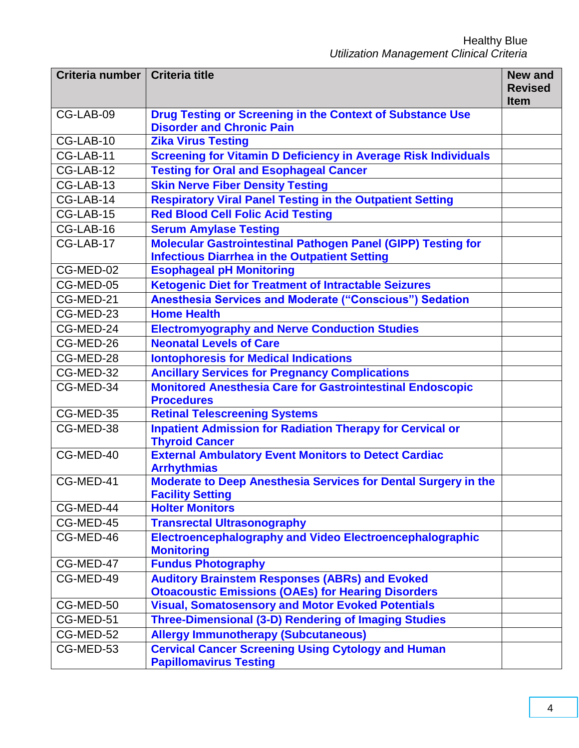| Criteria number   Criteria title |                                                                                                                      | <b>New and</b><br><b>Revised</b><br><b>Item</b> |
|----------------------------------|----------------------------------------------------------------------------------------------------------------------|-------------------------------------------------|
| CG-LAB-09                        | <b>Drug Testing or Screening in the Context of Substance Use</b><br><b>Disorder and Chronic Pain</b>                 |                                                 |
| CG-LAB-10                        | <b>Zika Virus Testing</b>                                                                                            |                                                 |
| CG-LAB-11                        | <b>Screening for Vitamin D Deficiency in Average Risk Individuals</b>                                                |                                                 |
| CG-LAB-12                        | <b>Testing for Oral and Esophageal Cancer</b>                                                                        |                                                 |
| CG-LAB-13                        | <b>Skin Nerve Fiber Density Testing</b>                                                                              |                                                 |
| CG-LAB-14                        | <b>Respiratory Viral Panel Testing in the Outpatient Setting</b>                                                     |                                                 |
| CG-LAB-15                        | <b>Red Blood Cell Folic Acid Testing</b>                                                                             |                                                 |
| CG-LAB-16                        | <b>Serum Amylase Testing</b>                                                                                         |                                                 |
| CG-LAB-17                        | Molecular Gastrointestinal Pathogen Panel (GIPP) Testing for<br><b>Infectious Diarrhea in the Outpatient Setting</b> |                                                 |
| CG-MED-02                        | <b>Esophageal pH Monitoring</b>                                                                                      |                                                 |
| CG-MED-05                        | <b>Ketogenic Diet for Treatment of Intractable Seizures</b>                                                          |                                                 |
| CG-MED-21                        | <b>Anesthesia Services and Moderate ("Conscious") Sedation</b>                                                       |                                                 |
| CG-MED-23                        | <b>Home Health</b>                                                                                                   |                                                 |
| CG-MED-24                        | <b>Electromyography and Nerve Conduction Studies</b>                                                                 |                                                 |
| CG-MED-26                        | <b>Neonatal Levels of Care</b>                                                                                       |                                                 |
| CG-MED-28                        | <b>Iontophoresis for Medical Indications</b>                                                                         |                                                 |
| CG-MED-32                        | <b>Ancillary Services for Pregnancy Complications</b>                                                                |                                                 |
| CG-MED-34                        | <b>Monitored Anesthesia Care for Gastrointestinal Endoscopic</b><br><b>Procedures</b>                                |                                                 |
| CG-MED-35                        | <b>Retinal Telescreening Systems</b>                                                                                 |                                                 |
| CG-MED-38                        | <b>Inpatient Admission for Radiation Therapy for Cervical or</b><br><b>Thyroid Cancer</b>                            |                                                 |
| CG-MED-40                        | <b>External Ambulatory Event Monitors to Detect Cardiac</b><br><b>Arrhythmias</b>                                    |                                                 |
| CG-MED-41                        | <b>Moderate to Deep Anesthesia Services for Dental Surgery in the</b><br><b>Facility Setting</b>                     |                                                 |
| CG-MED-44                        | <b>Holter Monitors</b>                                                                                               |                                                 |
| CG-MED-45                        | <b>Transrectal Ultrasonography</b>                                                                                   |                                                 |
| CG-MED-46                        | <b>Electroencephalography and Video Electroencephalographic</b><br><b>Monitoring</b>                                 |                                                 |
| CG-MED-47                        | <b>Fundus Photography</b>                                                                                            |                                                 |
| CG-MED-49                        | <b>Auditory Brainstem Responses (ABRs) and Evoked</b><br><b>Otoacoustic Emissions (OAEs) for Hearing Disorders</b>   |                                                 |
| CG-MED-50                        | <b>Visual, Somatosensory and Motor Evoked Potentials</b>                                                             |                                                 |
| CG-MED-51                        | <b>Three-Dimensional (3-D) Rendering of Imaging Studies</b>                                                          |                                                 |
| CG-MED-52                        | <b>Allergy Immunotherapy (Subcutaneous)</b>                                                                          |                                                 |
| CG-MED-53                        | <b>Cervical Cancer Screening Using Cytology and Human</b><br><b>Papillomavirus Testing</b>                           |                                                 |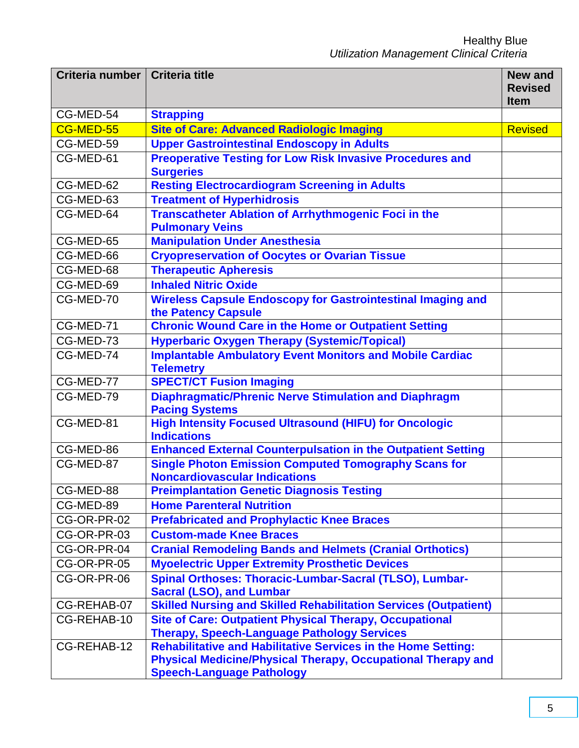| Criteria number   Criteria title |                                                                                     | <b>New and</b>                |
|----------------------------------|-------------------------------------------------------------------------------------|-------------------------------|
|                                  |                                                                                     | <b>Revised</b><br><b>Item</b> |
| CG-MED-54                        | <b>Strapping</b>                                                                    |                               |
| CG-MED-55                        | <b>Site of Care: Advanced Radiologic Imaging</b>                                    | <b>Revised</b>                |
| CG-MED-59                        | <b>Upper Gastrointestinal Endoscopy in Adults</b>                                   |                               |
| CG-MED-61                        | <b>Preoperative Testing for Low Risk Invasive Procedures and</b>                    |                               |
|                                  | <b>Surgeries</b>                                                                    |                               |
| CG-MED-62                        | <b>Resting Electrocardiogram Screening in Adults</b>                                |                               |
| CG-MED-63                        | <b>Treatment of Hyperhidrosis</b>                                                   |                               |
| CG-MED-64                        | <b>Transcatheter Ablation of Arrhythmogenic Foci in the</b>                         |                               |
|                                  | <b>Pulmonary Veins</b>                                                              |                               |
| CG-MED-65                        | <b>Manipulation Under Anesthesia</b>                                                |                               |
| CG-MED-66                        | <b>Cryopreservation of Oocytes or Ovarian Tissue</b>                                |                               |
| CG-MED-68                        | <b>Therapeutic Apheresis</b>                                                        |                               |
| CG-MED-69                        | <b>Inhaled Nitric Oxide</b>                                                         |                               |
| CG-MED-70                        | <b>Wireless Capsule Endoscopy for Gastrointestinal Imaging and</b>                  |                               |
|                                  | the Patency Capsule                                                                 |                               |
| CG-MED-71                        | <b>Chronic Wound Care in the Home or Outpatient Setting</b>                         |                               |
| CG-MED-73                        | <b>Hyperbaric Oxygen Therapy (Systemic/Topical)</b>                                 |                               |
| CG-MED-74                        | <b>Implantable Ambulatory Event Monitors and Mobile Cardiac</b><br><b>Telemetry</b> |                               |
| CG-MED-77                        | <b>SPECT/CT Fusion Imaging</b>                                                      |                               |
| CG-MED-79                        | <b>Diaphragmatic/Phrenic Nerve Stimulation and Diaphragm</b>                        |                               |
|                                  | <b>Pacing Systems</b>                                                               |                               |
| CG-MED-81                        | <b>High Intensity Focused Ultrasound (HIFU) for Oncologic</b><br><b>Indications</b> |                               |
| CG-MED-86                        | <b>Enhanced External Counterpulsation in the Outpatient Setting</b>                 |                               |
| CG-MED-87                        | <b>Single Photon Emission Computed Tomography Scans for</b>                         |                               |
|                                  | <b>Noncardiovascular Indications</b>                                                |                               |
| CG-MED-88                        | <b>Preimplantation Genetic Diagnosis Testing</b>                                    |                               |
| CG-MED-89                        | <b>Home Parenteral Nutrition</b>                                                    |                               |
| CG-OR-PR-02                      | <b>Prefabricated and Prophylactic Knee Braces</b>                                   |                               |
| CG-OR-PR-03                      | <b>Custom-made Knee Braces</b>                                                      |                               |
| CG-OR-PR-04                      | <b>Cranial Remodeling Bands and Helmets (Cranial Orthotics)</b>                     |                               |
| CG-OR-PR-05                      | <b>Myoelectric Upper Extremity Prosthetic Devices</b>                               |                               |
| CG-OR-PR-06                      | Spinal Orthoses: Thoracic-Lumbar-Sacral (TLSO), Lumbar-                             |                               |
|                                  | <b>Sacral (LSO), and Lumbar</b>                                                     |                               |
| CG-REHAB-07                      | <b>Skilled Nursing and Skilled Rehabilitation Services (Outpatient)</b>             |                               |
| CG-REHAB-10                      | <b>Site of Care: Outpatient Physical Therapy, Occupational</b>                      |                               |
|                                  | <b>Therapy, Speech-Language Pathology Services</b>                                  |                               |
| CG-REHAB-12                      | <b>Rehabilitative and Habilitative Services in the Home Setting:</b>                |                               |
|                                  | <b>Physical Medicine/Physical Therapy, Occupational Therapy and</b>                 |                               |
|                                  | <b>Speech-Language Pathology</b>                                                    |                               |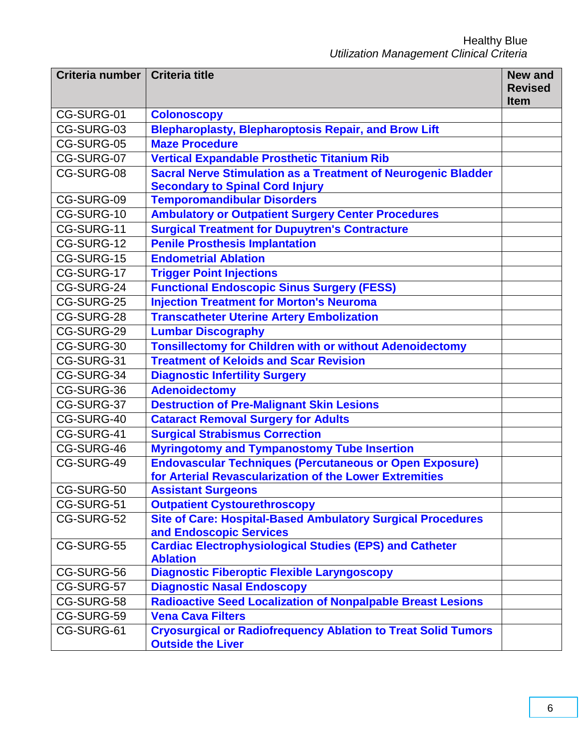| Criteria number   Criteria title |                                                                                                                           | <b>New and</b><br><b>Revised</b> |
|----------------------------------|---------------------------------------------------------------------------------------------------------------------------|----------------------------------|
|                                  |                                                                                                                           | <b>Item</b>                      |
| CG-SURG-01                       | <b>Colonoscopy</b>                                                                                                        |                                  |
| CG-SURG-03                       | <b>Blepharoplasty, Blepharoptosis Repair, and Brow Lift</b>                                                               |                                  |
| CG-SURG-05                       | <b>Maze Procedure</b>                                                                                                     |                                  |
| CG-SURG-07                       | <b>Vertical Expandable Prosthetic Titanium Rib</b>                                                                        |                                  |
| CG-SURG-08                       | <b>Sacral Nerve Stimulation as a Treatment of Neurogenic Bladder</b><br><b>Secondary to Spinal Cord Injury</b>            |                                  |
| CG-SURG-09                       | <b>Temporomandibular Disorders</b>                                                                                        |                                  |
| CG-SURG-10                       | <b>Ambulatory or Outpatient Surgery Center Procedures</b>                                                                 |                                  |
| CG-SURG-11                       | <b>Surgical Treatment for Dupuytren's Contracture</b>                                                                     |                                  |
| CG-SURG-12                       | <b>Penile Prosthesis Implantation</b>                                                                                     |                                  |
| CG-SURG-15                       | <b>Endometrial Ablation</b>                                                                                               |                                  |
| CG-SURG-17                       | <b>Trigger Point Injections</b>                                                                                           |                                  |
| CG-SURG-24                       | <b>Functional Endoscopic Sinus Surgery (FESS)</b>                                                                         |                                  |
| CG-SURG-25                       | <b>Injection Treatment for Morton's Neuroma</b>                                                                           |                                  |
| CG-SURG-28                       | <b>Transcatheter Uterine Artery Embolization</b>                                                                          |                                  |
| CG-SURG-29                       | <b>Lumbar Discography</b>                                                                                                 |                                  |
| CG-SURG-30                       | <b>Tonsillectomy for Children with or without Adenoidectomy</b>                                                           |                                  |
| CG-SURG-31                       | <b>Treatment of Keloids and Scar Revision</b>                                                                             |                                  |
| CG-SURG-34                       | <b>Diagnostic Infertility Surgery</b>                                                                                     |                                  |
| CG-SURG-36                       | <b>Adenoidectomy</b>                                                                                                      |                                  |
| CG-SURG-37                       | <b>Destruction of Pre-Malignant Skin Lesions</b>                                                                          |                                  |
| CG-SURG-40                       | <b>Cataract Removal Surgery for Adults</b>                                                                                |                                  |
| CG-SURG-41                       | <b>Surgical Strabismus Correction</b>                                                                                     |                                  |
| CG-SURG-46                       | <b>Myringotomy and Tympanostomy Tube Insertion</b>                                                                        |                                  |
| CG-SURG-49                       | <b>Endovascular Techniques (Percutaneous or Open Exposure)</b><br>for Arterial Revascularization of the Lower Extremities |                                  |
| CG-SURG-50                       | <b>Assistant Surgeons</b>                                                                                                 |                                  |
| CG-SURG-51                       | <b>Outpatient Cystourethroscopy</b>                                                                                       |                                  |
| CG-SURG-52                       | <b>Site of Care: Hospital-Based Ambulatory Surgical Procedures</b><br>and Endoscopic Services                             |                                  |
| CG-SURG-55                       | <b>Cardiac Electrophysiological Studies (EPS) and Catheter</b><br><b>Ablation</b>                                         |                                  |
| CG-SURG-56                       | <b>Diagnostic Fiberoptic Flexible Laryngoscopy</b>                                                                        |                                  |
| CG-SURG-57                       | <b>Diagnostic Nasal Endoscopy</b>                                                                                         |                                  |
| CG-SURG-58                       | <b>Radioactive Seed Localization of Nonpalpable Breast Lesions</b>                                                        |                                  |
| CG-SURG-59                       | <b>Vena Cava Filters</b>                                                                                                  |                                  |
| CG-SURG-61                       | <b>Cryosurgical or Radiofrequency Ablation to Treat Solid Tumors</b><br><b>Outside the Liver</b>                          |                                  |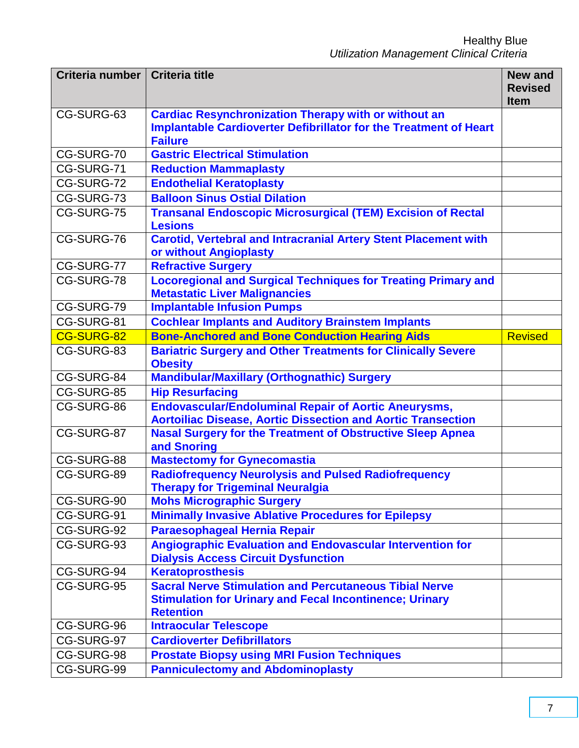| Criteria number   Criteria title |                                                                                                                                    | <b>New and</b><br><b>Revised</b> |
|----------------------------------|------------------------------------------------------------------------------------------------------------------------------------|----------------------------------|
| CG-SURG-63                       | <b>Cardiac Resynchronization Therapy with or without an</b>                                                                        | <b>Item</b>                      |
|                                  | <b>Implantable Cardioverter Defibrillator for the Treatment of Heart</b><br><b>Failure</b>                                         |                                  |
| CG-SURG-70                       | <b>Gastric Electrical Stimulation</b>                                                                                              |                                  |
| CG-SURG-71                       | <b>Reduction Mammaplasty</b>                                                                                                       |                                  |
| CG-SURG-72                       | <b>Endothelial Keratoplasty</b>                                                                                                    |                                  |
| CG-SURG-73                       | <b>Balloon Sinus Ostial Dilation</b>                                                                                               |                                  |
| CG-SURG-75                       | <b>Transanal Endoscopic Microsurgical (TEM) Excision of Rectal</b><br><b>Lesions</b>                                               |                                  |
| CG-SURG-76                       | <b>Carotid, Vertebral and Intracranial Artery Stent Placement with</b>                                                             |                                  |
|                                  | or without Angioplasty                                                                                                             |                                  |
| CG-SURG-77                       | <b>Refractive Surgery</b>                                                                                                          |                                  |
| CG-SURG-78                       | <b>Locoregional and Surgical Techniques for Treating Primary and</b><br><b>Metastatic Liver Malignancies</b>                       |                                  |
| CG-SURG-79                       | <b>Implantable Infusion Pumps</b>                                                                                                  |                                  |
| CG-SURG-81                       | <b>Cochlear Implants and Auditory Brainstem Implants</b>                                                                           |                                  |
| CG-SURG-82                       | <b>Bone-Anchored and Bone Conduction Hearing Aids</b>                                                                              | <b>Revised</b>                   |
| CG-SURG-83                       | <b>Bariatric Surgery and Other Treatments for Clinically Severe</b><br><b>Obesity</b>                                              |                                  |
| CG-SURG-84                       | <b>Mandibular/Maxillary (Orthognathic) Surgery</b>                                                                                 |                                  |
| CG-SURG-85                       | <b>Hip Resurfacing</b>                                                                                                             |                                  |
| CG-SURG-86                       | <b>Endovascular/Endoluminal Repair of Aortic Aneurysms,</b><br><b>Aortoiliac Disease, Aortic Dissection and Aortic Transection</b> |                                  |
| CG-SURG-87                       | <b>Nasal Surgery for the Treatment of Obstructive Sleep Apnea</b><br>and Snoring                                                   |                                  |
| CG-SURG-88                       | <b>Mastectomy for Gynecomastia</b>                                                                                                 |                                  |
| CG-SURG-89                       | <b>Radiofrequency Neurolysis and Pulsed Radiofrequency</b><br><b>Therapy for Trigeminal Neuralgia</b>                              |                                  |
| CG-SURG-90                       | <b>Mohs Micrographic Surgery</b>                                                                                                   |                                  |
| CG-SURG-91                       | <b>Minimally Invasive Ablative Procedures for Epilepsy</b>                                                                         |                                  |
| CG-SURG-92                       | <b>Paraesophageal Hernia Repair</b>                                                                                                |                                  |
| CG-SURG-93                       | <b>Angiographic Evaluation and Endovascular Intervention for</b><br><b>Dialysis Access Circuit Dysfunction</b>                     |                                  |
| CG-SURG-94                       | <b>Keratoprosthesis</b>                                                                                                            |                                  |
| CG-SURG-95                       | <b>Sacral Nerve Stimulation and Percutaneous Tibial Nerve</b>                                                                      |                                  |
|                                  | <b>Stimulation for Urinary and Fecal Incontinence; Urinary</b>                                                                     |                                  |
|                                  | <b>Retention</b>                                                                                                                   |                                  |
| CG-SURG-96                       | <b>Intraocular Telescope</b>                                                                                                       |                                  |
| CG-SURG-97                       | <b>Cardioverter Defibrillators</b>                                                                                                 |                                  |
| CG-SURG-98                       | <b>Prostate Biopsy using MRI Fusion Techniques</b>                                                                                 |                                  |
| CG-SURG-99                       | <b>Panniculectomy and Abdominoplasty</b>                                                                                           |                                  |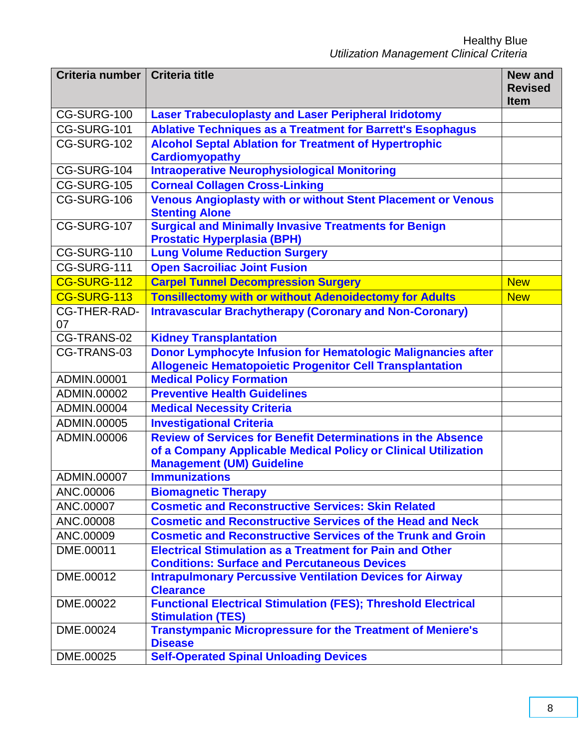| Criteria number   Criteria title |                                                                                                                                 | <b>New and</b><br><b>Revised</b> |
|----------------------------------|---------------------------------------------------------------------------------------------------------------------------------|----------------------------------|
|                                  |                                                                                                                                 | <b>Item</b>                      |
| CG-SURG-100                      | <b>Laser Trabeculoplasty and Laser Peripheral Iridotomy</b>                                                                     |                                  |
| CG-SURG-101                      | <b>Ablative Techniques as a Treatment for Barrett's Esophagus</b>                                                               |                                  |
| CG-SURG-102                      | <b>Alcohol Septal Ablation for Treatment of Hypertrophic</b><br><b>Cardiomyopathy</b>                                           |                                  |
| CG-SURG-104                      | <b>Intraoperative Neurophysiological Monitoring</b>                                                                             |                                  |
| CG-SURG-105                      | <b>Corneal Collagen Cross-Linking</b>                                                                                           |                                  |
| CG-SURG-106                      | <b>Venous Angioplasty with or without Stent Placement or Venous</b><br><b>Stenting Alone</b>                                    |                                  |
| CG-SURG-107                      | <b>Surgical and Minimally Invasive Treatments for Benign</b><br><b>Prostatic Hyperplasia (BPH)</b>                              |                                  |
| CG-SURG-110                      | <b>Lung Volume Reduction Surgery</b>                                                                                            |                                  |
| CG-SURG-111                      | <b>Open Sacroiliac Joint Fusion</b>                                                                                             |                                  |
| CG-SURG-112                      | <b>Carpel Tunnel Decompression Surgery</b>                                                                                      | <b>New</b>                       |
| CG-SURG-113                      | <b>Tonsillectomy with or without Adenoidectomy for Adults</b>                                                                   | <b>New</b>                       |
| <b>CG-THER-RAD-</b>              | <b>Intravascular Brachytherapy (Coronary and Non-Coronary)</b>                                                                  |                                  |
| 07                               |                                                                                                                                 |                                  |
| CG-TRANS-02                      | <b>Kidney Transplantation</b>                                                                                                   |                                  |
| CG-TRANS-03                      | Donor Lymphocyte Infusion for Hematologic Malignancies after<br><b>Allogeneic Hematopoietic Progenitor Cell Transplantation</b> |                                  |
| ADMIN.00001                      | <b>Medical Policy Formation</b>                                                                                                 |                                  |
| ADMIN.00002                      | <b>Preventive Health Guidelines</b>                                                                                             |                                  |
| ADMIN.00004                      | <b>Medical Necessity Criteria</b>                                                                                               |                                  |
| ADMIN.00005                      | <b>Investigational Criteria</b>                                                                                                 |                                  |
| ADMIN.00006                      | <b>Review of Services for Benefit Determinations in the Absence</b>                                                             |                                  |
|                                  | of a Company Applicable Medical Policy or Clinical Utilization<br><b>Management (UM) Guideline</b>                              |                                  |
| ADMIN.00007                      | <b>Immunizations</b>                                                                                                            |                                  |
| ANC.00006                        | <b>Biomagnetic Therapy</b>                                                                                                      |                                  |
| ANC.00007                        | <b>Cosmetic and Reconstructive Services: Skin Related</b>                                                                       |                                  |
| ANC.00008                        | <b>Cosmetic and Reconstructive Services of the Head and Neck</b>                                                                |                                  |
| ANC.00009                        | <b>Cosmetic and Reconstructive Services of the Trunk and Groin</b>                                                              |                                  |
| DME.00011                        | <b>Electrical Stimulation as a Treatment for Pain and Other</b><br><b>Conditions: Surface and Percutaneous Devices</b>          |                                  |
| DME.00012                        | <b>Intrapulmonary Percussive Ventilation Devices for Airway</b><br><b>Clearance</b>                                             |                                  |
| DME.00022                        | <b>Functional Electrical Stimulation (FES); Threshold Electrical</b><br><b>Stimulation (TES)</b>                                |                                  |
| DME.00024                        | <b>Transtympanic Micropressure for the Treatment of Meniere's</b><br><b>Disease</b>                                             |                                  |
| DME.00025                        | <b>Self-Operated Spinal Unloading Devices</b>                                                                                   |                                  |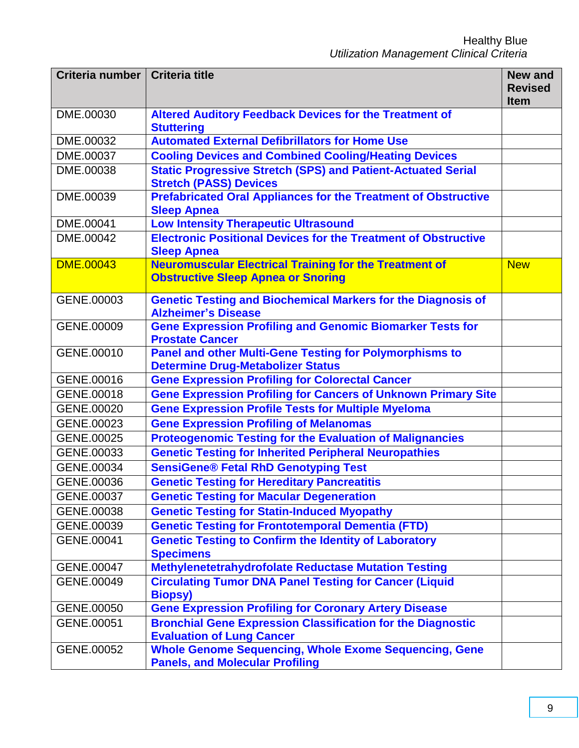| Criteria number  | <b>Criteria title</b>                                                                                  | <b>New and</b><br><b>Revised</b> |
|------------------|--------------------------------------------------------------------------------------------------------|----------------------------------|
|                  |                                                                                                        | <b>Item</b>                      |
| DME.00030        | <b>Altered Auditory Feedback Devices for the Treatment of</b>                                          |                                  |
|                  | <b>Stuttering</b>                                                                                      |                                  |
| DME.00032        | <b>Automated External Defibrillators for Home Use</b>                                                  |                                  |
| DME.00037        | <b>Cooling Devices and Combined Cooling/Heating Devices</b>                                            |                                  |
| DME.00038        | <b>Static Progressive Stretch (SPS) and Patient-Actuated Serial</b><br><b>Stretch (PASS) Devices</b>   |                                  |
| DME.00039        | <b>Prefabricated Oral Appliances for the Treatment of Obstructive</b><br><b>Sleep Apnea</b>            |                                  |
| DME.00041        | <b>Low Intensity Therapeutic Ultrasound</b>                                                            |                                  |
| DME.00042        | <b>Electronic Positional Devices for the Treatment of Obstructive</b>                                  |                                  |
|                  | <b>Sleep Apnea</b>                                                                                     |                                  |
| <b>DME.00043</b> | <b>Neuromuscular Electrical Training for the Treatment of</b>                                          | <b>New</b>                       |
|                  | <b>Obstructive Sleep Apnea or Snoring</b>                                                              |                                  |
| GENE.00003       | <b>Genetic Testing and Biochemical Markers for the Diagnosis of</b><br><b>Alzheimer's Disease</b>      |                                  |
| GENE.00009       | <b>Gene Expression Profiling and Genomic Biomarker Tests for</b>                                       |                                  |
|                  | <b>Prostate Cancer</b>                                                                                 |                                  |
| GENE.00010       | <b>Panel and other Multi-Gene Testing for Polymorphisms to</b>                                         |                                  |
|                  | <b>Determine Drug-Metabolizer Status</b>                                                               |                                  |
| GENE.00016       | <b>Gene Expression Profiling for Colorectal Cancer</b>                                                 |                                  |
| GENE.00018       | <b>Gene Expression Profiling for Cancers of Unknown Primary Site</b>                                   |                                  |
| GENE.00020       | <b>Gene Expression Profile Tests for Multiple Myeloma</b>                                              |                                  |
| GENE.00023       | <b>Gene Expression Profiling of Melanomas</b>                                                          |                                  |
| GENE.00025       | <b>Proteogenomic Testing for the Evaluation of Malignancies</b>                                        |                                  |
| GENE.00033       | <b>Genetic Testing for Inherited Peripheral Neuropathies</b>                                           |                                  |
| GENE.00034       | <b>SensiGene® Fetal RhD Genotyping Test</b>                                                            |                                  |
| GENE.00036       | <b>Genetic Testing for Hereditary Pancreatitis</b>                                                     |                                  |
| GENE.00037       | <b>Genetic Testing for Macular Degeneration</b>                                                        |                                  |
| GENE.00038       | <b>Genetic Testing for Statin-Induced Myopathy</b>                                                     |                                  |
| GENE.00039       | <b>Genetic Testing for Frontotemporal Dementia (FTD)</b>                                               |                                  |
| GENE.00041       | <b>Genetic Testing to Confirm the Identity of Laboratory</b>                                           |                                  |
|                  | <b>Specimens</b>                                                                                       |                                  |
| GENE.00047       | <b>Methylenetetrahydrofolate Reductase Mutation Testing</b>                                            |                                  |
| GENE.00049       | <b>Circulating Tumor DNA Panel Testing for Cancer (Liquid</b><br><b>Biopsy)</b>                        |                                  |
| GENE.00050       | <b>Gene Expression Profiling for Coronary Artery Disease</b>                                           |                                  |
| GENE.00051       | <b>Bronchial Gene Expression Classification for the Diagnostic</b><br><b>Evaluation of Lung Cancer</b> |                                  |
| GENE.00052       | <b>Whole Genome Sequencing, Whole Exome Sequencing, Gene</b><br><b>Panels, and Molecular Profiling</b> |                                  |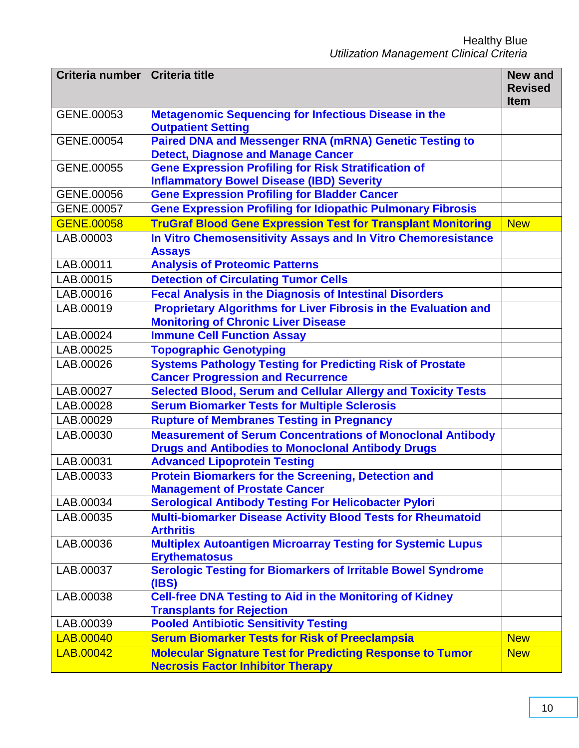| Criteria number   Criteria title |                                                                                                                               | <b>New and</b><br><b>Revised</b><br><b>Item</b> |
|----------------------------------|-------------------------------------------------------------------------------------------------------------------------------|-------------------------------------------------|
| GENE.00053                       | <b>Metagenomic Sequencing for Infectious Disease in the</b><br><b>Outpatient Setting</b>                                      |                                                 |
| GENE.00054                       | <b>Paired DNA and Messenger RNA (mRNA) Genetic Testing to</b><br><b>Detect, Diagnose and Manage Cancer</b>                    |                                                 |
| GENE.00055                       | <b>Gene Expression Profiling for Risk Stratification of</b><br><b>Inflammatory Bowel Disease (IBD) Severity</b>               |                                                 |
| GENE.00056                       | <b>Gene Expression Profiling for Bladder Cancer</b>                                                                           |                                                 |
| GENE.00057                       | <b>Gene Expression Profiling for Idiopathic Pulmonary Fibrosis</b>                                                            |                                                 |
| <b>GENE.00058</b>                | <b>TruGraf Blood Gene Expression Test for Transplant Monitoring</b>                                                           | <b>New</b>                                      |
| LAB.00003                        | In Vitro Chemosensitivity Assays and In Vitro Chemoresistance<br><b>Assays</b>                                                |                                                 |
| LAB.00011                        | <b>Analysis of Proteomic Patterns</b>                                                                                         |                                                 |
| LAB.00015                        | <b>Detection of Circulating Tumor Cells</b>                                                                                   |                                                 |
| LAB.00016                        | <b>Fecal Analysis in the Diagnosis of Intestinal Disorders</b>                                                                |                                                 |
| LAB.00019                        | <b>Proprietary Algorithms for Liver Fibrosis in the Evaluation and</b><br><b>Monitoring of Chronic Liver Disease</b>          |                                                 |
| LAB.00024                        | <b>Immune Cell Function Assay</b>                                                                                             |                                                 |
| LAB.00025                        | <b>Topographic Genotyping</b>                                                                                                 |                                                 |
| LAB.00026                        | <b>Systems Pathology Testing for Predicting Risk of Prostate</b>                                                              |                                                 |
|                                  | <b>Cancer Progression and Recurrence</b>                                                                                      |                                                 |
| LAB.00027                        | <b>Selected Blood, Serum and Cellular Allergy and Toxicity Tests</b>                                                          |                                                 |
| LAB.00028                        | <b>Serum Biomarker Tests for Multiple Sclerosis</b>                                                                           |                                                 |
| LAB.00029                        | <b>Rupture of Membranes Testing in Pregnancy</b>                                                                              |                                                 |
| LAB.00030                        | <b>Measurement of Serum Concentrations of Monoclonal Antibody</b><br><b>Drugs and Antibodies to Monoclonal Antibody Drugs</b> |                                                 |
| LAB.00031                        | <b>Advanced Lipoprotein Testing</b>                                                                                           |                                                 |
| LAB.00033                        | <b>Protein Biomarkers for the Screening, Detection and</b><br><b>Management of Prostate Cancer</b>                            |                                                 |
| LAB.00034                        | <b>Serological Antibody Testing For Helicobacter Pylori</b>                                                                   |                                                 |
| LAB.00035                        | <b>Multi-biomarker Disease Activity Blood Tests for Rheumatoid</b><br><b>Arthritis</b>                                        |                                                 |
| LAB.00036                        | <b>Multiplex Autoantigen Microarray Testing for Systemic Lupus</b><br><b>Erythematosus</b>                                    |                                                 |
| LAB.00037                        | <b>Serologic Testing for Biomarkers of Irritable Bowel Syndrome</b><br>(IBS)                                                  |                                                 |
| LAB.00038                        | <b>Cell-free DNA Testing to Aid in the Monitoring of Kidney</b><br><b>Transplants for Rejection</b>                           |                                                 |
| LAB.00039                        | <b>Pooled Antibiotic Sensitivity Testing</b>                                                                                  |                                                 |
| LAB.00040                        | <b>Serum Biomarker Tests for Risk of Preeclampsia</b>                                                                         | <b>New</b>                                      |
| LAB.00042                        | <b>Molecular Signature Test for Predicting Response to Tumor</b><br><b>Necrosis Factor Inhibitor Therapy</b>                  | <b>New</b>                                      |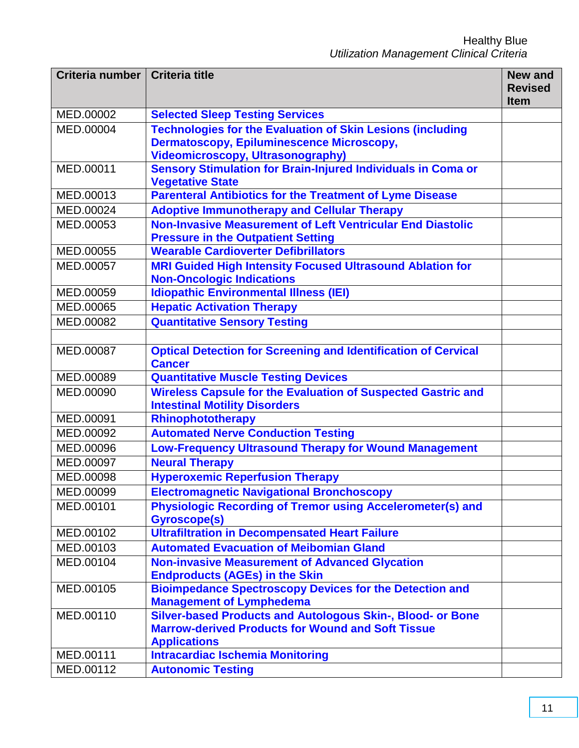| Criteria number | <b>Criteria title</b>                                                                                       | <b>New and</b><br><b>Revised</b><br><b>Item</b> |
|-----------------|-------------------------------------------------------------------------------------------------------------|-------------------------------------------------|
| MED.00002       | <b>Selected Sleep Testing Services</b>                                                                      |                                                 |
| MED.00004       | <b>Technologies for the Evaluation of Skin Lesions (including</b>                                           |                                                 |
|                 | <b>Dermatoscopy, Epiluminescence Microscopy,</b>                                                            |                                                 |
|                 | <b>Videomicroscopy, Ultrasonography)</b>                                                                    |                                                 |
| MED.00011       | <b>Sensory Stimulation for Brain-Injured Individuals in Coma or</b><br><b>Vegetative State</b>              |                                                 |
| MED.00013       | <b>Parenteral Antibiotics for the Treatment of Lyme Disease</b>                                             |                                                 |
| MED.00024       | <b>Adoptive Immunotherapy and Cellular Therapy</b>                                                          |                                                 |
| MED.00053       | Non-Invasive Measurement of Left Ventricular End Diastolic<br><b>Pressure in the Outpatient Setting</b>     |                                                 |
| MED.00055       | <b>Wearable Cardioverter Defibrillators</b>                                                                 |                                                 |
| MED.00057       | <b>MRI Guided High Intensity Focused Ultrasound Ablation for</b>                                            |                                                 |
|                 | <b>Non-Oncologic Indications</b>                                                                            |                                                 |
| MED.00059       | <b>Idiopathic Environmental Illness (IEI)</b>                                                               |                                                 |
| MED.00065       | <b>Hepatic Activation Therapy</b>                                                                           |                                                 |
| MED.00082       | <b>Quantitative Sensory Testing</b>                                                                         |                                                 |
|                 |                                                                                                             |                                                 |
| MED.00087       | <b>Optical Detection for Screening and Identification of Cervical</b><br><b>Cancer</b>                      |                                                 |
| MED.00089       | <b>Quantitative Muscle Testing Devices</b>                                                                  |                                                 |
| MED.00090       | <b>Wireless Capsule for the Evaluation of Suspected Gastric and</b><br><b>Intestinal Motility Disorders</b> |                                                 |
| MED.00091       | Rhinophototherapy                                                                                           |                                                 |
| MED.00092       | <b>Automated Nerve Conduction Testing</b>                                                                   |                                                 |
| MED.00096       | <b>Low-Frequency Ultrasound Therapy for Wound Management</b>                                                |                                                 |
| MED.00097       | <b>Neural Therapy</b>                                                                                       |                                                 |
| MED.00098       | <b>Hyperoxemic Reperfusion Therapy</b>                                                                      |                                                 |
| MED.00099       | <b>Electromagnetic Navigational Bronchoscopy</b>                                                            |                                                 |
| MED.00101       | <b>Physiologic Recording of Tremor using Accelerometer(s) and</b><br><b>Gyroscope(s)</b>                    |                                                 |
| MED.00102       | <b>Ultrafiltration in Decompensated Heart Failure</b>                                                       |                                                 |
| MED.00103       | <b>Automated Evacuation of Meibomian Gland</b>                                                              |                                                 |
| MED.00104       | <b>Non-invasive Measurement of Advanced Glycation</b>                                                       |                                                 |
|                 | <b>Endproducts (AGEs) in the Skin</b>                                                                       |                                                 |
| MED.00105       | <b>Bioimpedance Spectroscopy Devices for the Detection and</b>                                              |                                                 |
|                 | <b>Management of Lymphedema</b>                                                                             |                                                 |
| MED.00110       | Silver-based Products and Autologous Skin-, Blood- or Bone                                                  |                                                 |
|                 | <b>Marrow-derived Products for Wound and Soft Tissue</b><br><b>Applications</b>                             |                                                 |
| MED.00111       | <b>Intracardiac Ischemia Monitoring</b>                                                                     |                                                 |
| MED.00112       | <b>Autonomic Testing</b>                                                                                    |                                                 |
|                 |                                                                                                             |                                                 |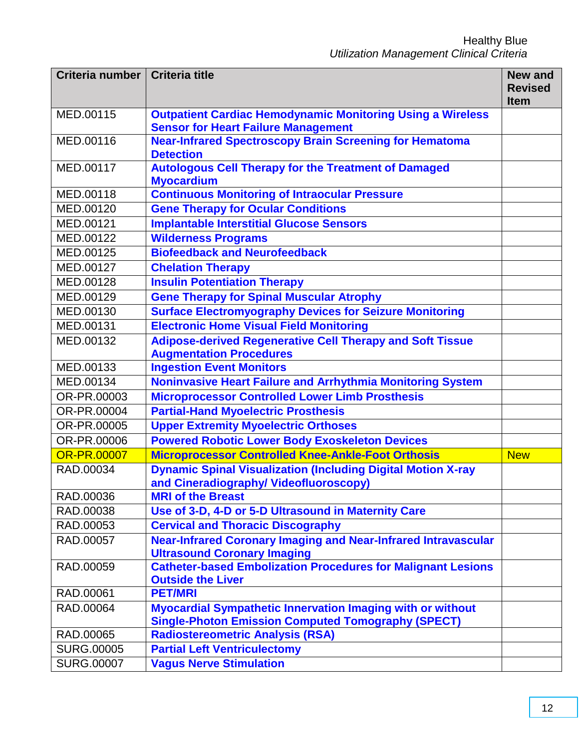| Criteria number    | <b>Criteria title</b>                                                                                                          | <b>New and</b><br><b>Revised</b><br><b>Item</b> |
|--------------------|--------------------------------------------------------------------------------------------------------------------------------|-------------------------------------------------|
| MED.00115          | <b>Outpatient Cardiac Hemodynamic Monitoring Using a Wireless</b><br><b>Sensor for Heart Failure Management</b>                |                                                 |
| MED.00116          | <b>Near-Infrared Spectroscopy Brain Screening for Hematoma</b><br><b>Detection</b>                                             |                                                 |
| MED.00117          | <b>Autologous Cell Therapy for the Treatment of Damaged</b><br><b>Myocardium</b>                                               |                                                 |
| MED.00118          | <b>Continuous Monitoring of Intraocular Pressure</b>                                                                           |                                                 |
| MED.00120          | <b>Gene Therapy for Ocular Conditions</b>                                                                                      |                                                 |
| MED.00121          | <b>Implantable Interstitial Glucose Sensors</b>                                                                                |                                                 |
| MED.00122          | <b>Wilderness Programs</b>                                                                                                     |                                                 |
| MED.00125          | <b>Biofeedback and Neurofeedback</b>                                                                                           |                                                 |
| MED.00127          | <b>Chelation Therapy</b>                                                                                                       |                                                 |
| MED.00128          | <b>Insulin Potentiation Therapy</b>                                                                                            |                                                 |
| MED.00129          | <b>Gene Therapy for Spinal Muscular Atrophy</b>                                                                                |                                                 |
| MED.00130          | <b>Surface Electromyography Devices for Seizure Monitoring</b>                                                                 |                                                 |
| MED.00131          | <b>Electronic Home Visual Field Monitoring</b>                                                                                 |                                                 |
| MED.00132          | <b>Adipose-derived Regenerative Cell Therapy and Soft Tissue</b>                                                               |                                                 |
|                    | <b>Augmentation Procedures</b>                                                                                                 |                                                 |
| MED.00133          | <b>Ingestion Event Monitors</b>                                                                                                |                                                 |
| MED.00134          | <b>Noninvasive Heart Failure and Arrhythmia Monitoring System</b>                                                              |                                                 |
| OR-PR.00003        | <b>Microprocessor Controlled Lower Limb Prosthesis</b>                                                                         |                                                 |
| OR-PR.00004        | <b>Partial-Hand Myoelectric Prosthesis</b>                                                                                     |                                                 |
| OR-PR.00005        | <b>Upper Extremity Myoelectric Orthoses</b>                                                                                    |                                                 |
| OR-PR.00006        | <b>Powered Robotic Lower Body Exoskeleton Devices</b>                                                                          |                                                 |
| <b>OR-PR.00007</b> | <b>Microprocessor Controlled Knee-Ankle-Foot Orthosis</b>                                                                      | <b>New</b>                                      |
| RAD.00034          | <b>Dynamic Spinal Visualization (Including Digital Motion X-ray</b><br>and Cineradiography/ Videofluoroscopy)                  |                                                 |
| RAD.00036          | <b>MRI of the Breast</b>                                                                                                       |                                                 |
| RAD.00038          | Use of 3-D, 4-D or 5-D Ultrasound in Maternity Care                                                                            |                                                 |
| RAD.00053          | <b>Cervical and Thoracic Discography</b>                                                                                       |                                                 |
| RAD.00057          | <b>Near-Infrared Coronary Imaging and Near-Infrared Intravascular</b>                                                          |                                                 |
|                    | <b>Ultrasound Coronary Imaging</b>                                                                                             |                                                 |
| RAD.00059          | <b>Catheter-based Embolization Procedures for Malignant Lesions</b>                                                            |                                                 |
|                    | <b>Outside the Liver</b>                                                                                                       |                                                 |
| RAD.00061          | <b>PET/MRI</b>                                                                                                                 |                                                 |
| RAD.00064          | <b>Myocardial Sympathetic Innervation Imaging with or without</b><br><b>Single-Photon Emission Computed Tomography (SPECT)</b> |                                                 |
| RAD.00065          | <b>Radiostereometric Analysis (RSA)</b>                                                                                        |                                                 |
| <b>SURG.00005</b>  | <b>Partial Left Ventriculectomy</b>                                                                                            |                                                 |
| <b>SURG.00007</b>  | <b>Vagus Nerve Stimulation</b>                                                                                                 |                                                 |
|                    |                                                                                                                                |                                                 |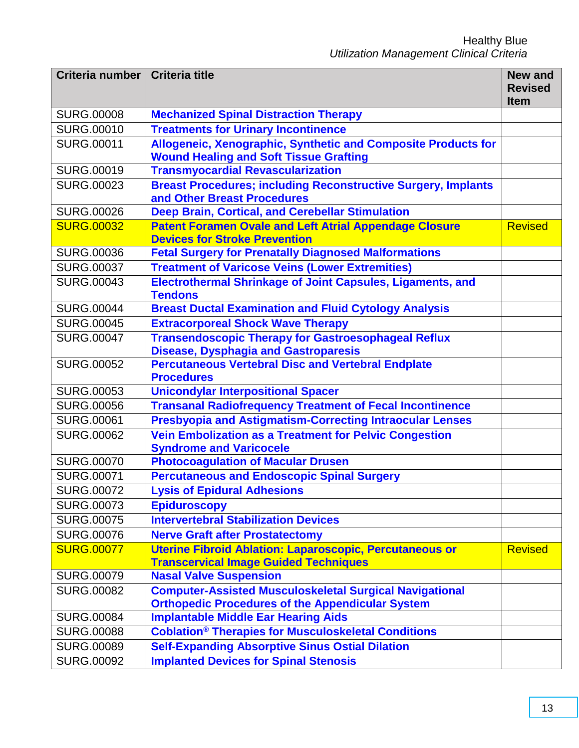| Criteria number   Criteria title |                                                                                                                | <b>New and</b><br><b>Revised</b> |
|----------------------------------|----------------------------------------------------------------------------------------------------------------|----------------------------------|
|                                  |                                                                                                                | <b>Item</b>                      |
| <b>SURG.00008</b>                | <b>Mechanized Spinal Distraction Therapy</b>                                                                   |                                  |
| <b>SURG.00010</b>                | <b>Treatments for Urinary Incontinence</b>                                                                     |                                  |
| <b>SURG.00011</b>                | Allogeneic, Xenographic, Synthetic and Composite Products for<br><b>Wound Healing and Soft Tissue Grafting</b> |                                  |
| <b>SURG.00019</b>                | <b>Transmyocardial Revascularization</b>                                                                       |                                  |
| <b>SURG.00023</b>                | <b>Breast Procedures; including Reconstructive Surgery, Implants</b><br>and Other Breast Procedures            |                                  |
| <b>SURG.00026</b>                | <b>Deep Brain, Cortical, and Cerebellar Stimulation</b>                                                        |                                  |
| <b>SURG.00032</b>                | <b>Patent Foramen Ovale and Left Atrial Appendage Closure</b><br><b>Devices for Stroke Prevention</b>          | <b>Revised</b>                   |
| <b>SURG.00036</b>                | <b>Fetal Surgery for Prenatally Diagnosed Malformations</b>                                                    |                                  |
| <b>SURG.00037</b>                | <b>Treatment of Varicose Veins (Lower Extremities)</b>                                                         |                                  |
| <b>SURG.00043</b>                | Electrothermal Shrinkage of Joint Capsules, Ligaments, and<br><b>Tendons</b>                                   |                                  |
| <b>SURG.00044</b>                | <b>Breast Ductal Examination and Fluid Cytology Analysis</b>                                                   |                                  |
| <b>SURG.00045</b>                | <b>Extracorporeal Shock Wave Therapy</b>                                                                       |                                  |
| <b>SURG.00047</b>                | <b>Transendoscopic Therapy for Gastroesophageal Reflux</b><br><b>Disease, Dysphagia and Gastroparesis</b>      |                                  |
| <b>SURG.00052</b>                | <b>Percutaneous Vertebral Disc and Vertebral Endplate</b><br><b>Procedures</b>                                 |                                  |
| <b>SURG.00053</b>                | <b>Unicondylar Interpositional Spacer</b>                                                                      |                                  |
| <b>SURG.00056</b>                | <b>Transanal Radiofrequency Treatment of Fecal Incontinence</b>                                                |                                  |
| <b>SURG.00061</b>                | <b>Presbyopia and Astigmatism-Correcting Intraocular Lenses</b>                                                |                                  |
| <b>SURG.00062</b>                | <b>Vein Embolization as a Treatment for Pelvic Congestion</b><br><b>Syndrome and Varicocele</b>                |                                  |
| <b>SURG.00070</b>                | <b>Photocoagulation of Macular Drusen</b>                                                                      |                                  |
| <b>SURG.00071</b>                | <b>Percutaneous and Endoscopic Spinal Surgery</b>                                                              |                                  |
| <b>SURG.00072</b>                | <b>Lysis of Epidural Adhesions</b>                                                                             |                                  |
| <b>SURG.00073</b>                | <b>Epiduroscopy</b>                                                                                            |                                  |
| <b>SURG.00075</b>                | <b>Intervertebral Stabilization Devices</b>                                                                    |                                  |
| <b>SURG.00076</b>                | <b>Nerve Graft after Prostatectomy</b>                                                                         |                                  |
| <b>SURG.00077</b>                | <b>Uterine Fibroid Ablation: Laparoscopic, Percutaneous or</b>                                                 | <b>Revised</b>                   |
|                                  | <b>Transcervical Image Guided Techniques</b>                                                                   |                                  |
| <b>SURG.00079</b>                | <b>Nasal Valve Suspension</b>                                                                                  |                                  |
| <b>SURG.00082</b>                | <b>Computer-Assisted Musculoskeletal Surgical Navigational</b>                                                 |                                  |
|                                  | <b>Orthopedic Procedures of the Appendicular System</b>                                                        |                                  |
| <b>SURG.00084</b>                | <b>Implantable Middle Ear Hearing Aids</b>                                                                     |                                  |
| <b>SURG.00088</b>                | <b>Coblation<sup>®</sup> Therapies for Musculoskeletal Conditions</b>                                          |                                  |
| <b>SURG.00089</b>                | <b>Self-Expanding Absorptive Sinus Ostial Dilation</b>                                                         |                                  |
| <b>SURG.00092</b>                | <b>Implanted Devices for Spinal Stenosis</b>                                                                   |                                  |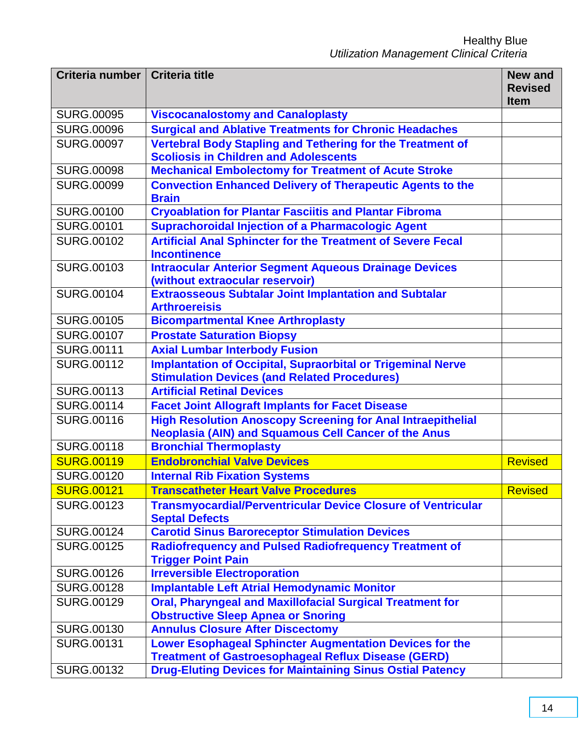| Criteria number   | <b>Criteria title</b>                                                                                                 | <b>New and</b> |
|-------------------|-----------------------------------------------------------------------------------------------------------------------|----------------|
|                   |                                                                                                                       | <b>Revised</b> |
|                   |                                                                                                                       | <b>Item</b>    |
| <b>SURG.00095</b> | <b>Viscocanalostomy and Canaloplasty</b>                                                                              |                |
| <b>SURG.00096</b> | <b>Surgical and Ablative Treatments for Chronic Headaches</b>                                                         |                |
| <b>SURG.00097</b> | <b>Vertebral Body Stapling and Tethering for the Treatment of</b><br><b>Scoliosis in Children and Adolescents</b>     |                |
| <b>SURG.00098</b> | <b>Mechanical Embolectomy for Treatment of Acute Stroke</b>                                                           |                |
| <b>SURG.00099</b> | <b>Convection Enhanced Delivery of Therapeutic Agents to the</b><br><b>Brain</b>                                      |                |
| <b>SURG.00100</b> | <b>Cryoablation for Plantar Fasciitis and Plantar Fibroma</b>                                                         |                |
| <b>SURG.00101</b> | <b>Suprachoroidal Injection of a Pharmacologic Agent</b>                                                              |                |
| <b>SURG.00102</b> | <b>Artificial Anal Sphincter for the Treatment of Severe Fecal</b>                                                    |                |
|                   | <b>Incontinence</b>                                                                                                   |                |
| <b>SURG.00103</b> | <b>Intraocular Anterior Segment Aqueous Drainage Devices</b>                                                          |                |
|                   | (without extraocular reservoir)                                                                                       |                |
| <b>SURG.00104</b> | <b>Extraosseous Subtalar Joint Implantation and Subtalar</b><br><b>Arthroereisis</b>                                  |                |
| <b>SURG.00105</b> | <b>Bicompartmental Knee Arthroplasty</b>                                                                              |                |
| <b>SURG.00107</b> | <b>Prostate Saturation Biopsy</b>                                                                                     |                |
| <b>SURG.00111</b> | <b>Axial Lumbar Interbody Fusion</b>                                                                                  |                |
| <b>SURG.00112</b> | <b>Implantation of Occipital, Supraorbital or Trigeminal Nerve</b>                                                    |                |
|                   | <b>Stimulation Devices (and Related Procedures)</b>                                                                   |                |
| SURG.00113        | <b>Artificial Retinal Devices</b>                                                                                     |                |
| <b>SURG.00114</b> | <b>Facet Joint Allograft Implants for Facet Disease</b>                                                               |                |
| <b>SURG.00116</b> | <b>High Resolution Anoscopy Screening for Anal Intraepithelial</b>                                                    |                |
|                   | <b>Neoplasia (AIN) and Squamous Cell Cancer of the Anus</b>                                                           |                |
| <b>SURG.00118</b> | <b>Bronchial Thermoplasty</b>                                                                                         |                |
| <b>SURG.00119</b> | <b>Endobronchial Valve Devices</b>                                                                                    | <b>Revised</b> |
| <b>SURG.00120</b> | <b>Internal Rib Fixation Systems</b>                                                                                  |                |
| <b>SURG.00121</b> | <b>Transcatheter Heart Valve Procedures</b>                                                                           | <b>Revised</b> |
| <b>SURG.00123</b> | <b>Transmyocardial/Perventricular Device Closure of Ventricular</b><br><b>Septal Defects</b>                          |                |
| <b>SURG.00124</b> | <b>Carotid Sinus Baroreceptor Stimulation Devices</b>                                                                 |                |
| <b>SURG.00125</b> | <b>Radiofrequency and Pulsed Radiofrequency Treatment of</b>                                                          |                |
|                   | <b>Trigger Point Pain</b>                                                                                             |                |
| <b>SURG.00126</b> | <b>Irreversible Electroporation</b>                                                                                   |                |
| <b>SURG.00128</b> | <b>Implantable Left Atrial Hemodynamic Monitor</b>                                                                    |                |
| <b>SURG.00129</b> | <b>Oral, Pharyngeal and Maxillofacial Surgical Treatment for</b>                                                      |                |
|                   | <b>Obstructive Sleep Apnea or Snoring</b>                                                                             |                |
| <b>SURG.00130</b> | <b>Annulus Closure After Discectomy</b>                                                                               |                |
| <b>SURG.00131</b> | Lower Esophageal Sphincter Augmentation Devices for the<br><b>Treatment of Gastroesophageal Reflux Disease (GERD)</b> |                |
| <b>SURG.00132</b> | <b>Drug-Eluting Devices for Maintaining Sinus Ostial Patency</b>                                                      |                |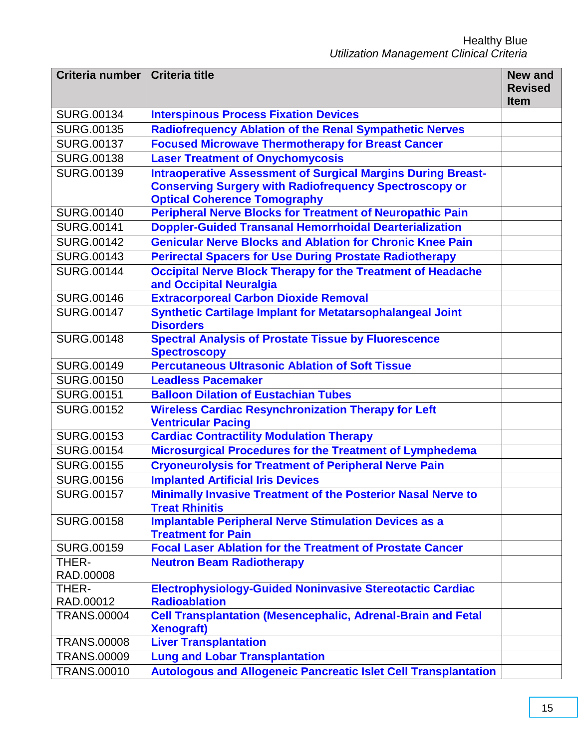| Criteria number   Criteria title |                                                                                              | <b>New and</b> |
|----------------------------------|----------------------------------------------------------------------------------------------|----------------|
|                                  |                                                                                              | <b>Revised</b> |
|                                  |                                                                                              | <b>Item</b>    |
| <b>SURG.00134</b>                | <b>Interspinous Process Fixation Devices</b>                                                 |                |
| <b>SURG.00135</b>                | <b>Radiofrequency Ablation of the Renal Sympathetic Nerves</b>                               |                |
| <b>SURG.00137</b>                | <b>Focused Microwave Thermotherapy for Breast Cancer</b>                                     |                |
| <b>SURG.00138</b>                | <b>Laser Treatment of Onychomycosis</b>                                                      |                |
| <b>SURG.00139</b>                | <b>Intraoperative Assessment of Surgical Margins During Breast-</b>                          |                |
|                                  | <b>Conserving Surgery with Radiofrequency Spectroscopy or</b>                                |                |
|                                  | <b>Optical Coherence Tomography</b>                                                          |                |
| <b>SURG.00140</b>                | <b>Peripheral Nerve Blocks for Treatment of Neuropathic Pain</b>                             |                |
| <b>SURG.00141</b>                | <b>Doppler-Guided Transanal Hemorrhoidal Dearterialization</b>                               |                |
| <b>SURG.00142</b>                | <b>Genicular Nerve Blocks and Ablation for Chronic Knee Pain</b>                             |                |
| <b>SURG.00143</b>                | <b>Perirectal Spacers for Use During Prostate Radiotherapy</b>                               |                |
| <b>SURG.00144</b>                | <b>Occipital Nerve Block Therapy for the Treatment of Headache</b>                           |                |
| <b>SURG.00146</b>                | and Occipital Neuralgia<br><b>Extracorporeal Carbon Dioxide Removal</b>                      |                |
|                                  |                                                                                              |                |
| <b>SURG.00147</b>                | <b>Synthetic Cartilage Implant for Metatarsophalangeal Joint</b><br><b>Disorders</b>         |                |
| <b>SURG.00148</b>                | <b>Spectral Analysis of Prostate Tissue by Fluorescence</b>                                  |                |
|                                  | <b>Spectroscopy</b>                                                                          |                |
| <b>SURG.00149</b>                | <b>Percutaneous Ultrasonic Ablation of Soft Tissue</b>                                       |                |
| <b>SURG.00150</b>                | <b>Leadless Pacemaker</b>                                                                    |                |
| <b>SURG.00151</b>                | <b>Balloon Dilation of Eustachian Tubes</b>                                                  |                |
| <b>SURG.00152</b>                | <b>Wireless Cardiac Resynchronization Therapy for Left</b>                                   |                |
|                                  | <b>Ventricular Pacing</b>                                                                    |                |
| <b>SURG.00153</b>                | <b>Cardiac Contractility Modulation Therapy</b>                                              |                |
| <b>SURG.00154</b>                | Microsurgical Procedures for the Treatment of Lymphedema                                     |                |
| <b>SURG.00155</b>                | <b>Cryoneurolysis for Treatment of Peripheral Nerve Pain</b>                                 |                |
| <b>SURG.00156</b>                | <b>Implanted Artificial Iris Devices</b>                                                     |                |
| <b>SURG.00157</b>                | <b>Minimally Invasive Treatment of the Posterior Nasal Nerve to</b><br><b>Treat Rhinitis</b> |                |
| <b>SURG.00158</b>                | <b>Implantable Peripheral Nerve Stimulation Devices as a</b><br><b>Treatment for Pain</b>    |                |
| <b>SURG.00159</b>                | <b>Focal Laser Ablation for the Treatment of Prostate Cancer</b>                             |                |
| THER-                            | <b>Neutron Beam Radiotherapy</b>                                                             |                |
| RAD.00008                        |                                                                                              |                |
| THER-                            | <b>Electrophysiology-Guided Noninvasive Stereotactic Cardiac</b>                             |                |
| RAD.00012                        | <b>Radioablation</b>                                                                         |                |
| <b>TRANS.00004</b>               | <b>Cell Transplantation (Mesencephalic, Adrenal-Brain and Fetal</b><br><b>Xenograft)</b>     |                |
| <b>TRANS.00008</b>               | <b>Liver Transplantation</b>                                                                 |                |
| <b>TRANS.00009</b>               | <b>Lung and Lobar Transplantation</b>                                                        |                |
| <b>TRANS.00010</b>               | <b>Autologous and Allogeneic Pancreatic Islet Cell Transplantation</b>                       |                |
|                                  |                                                                                              |                |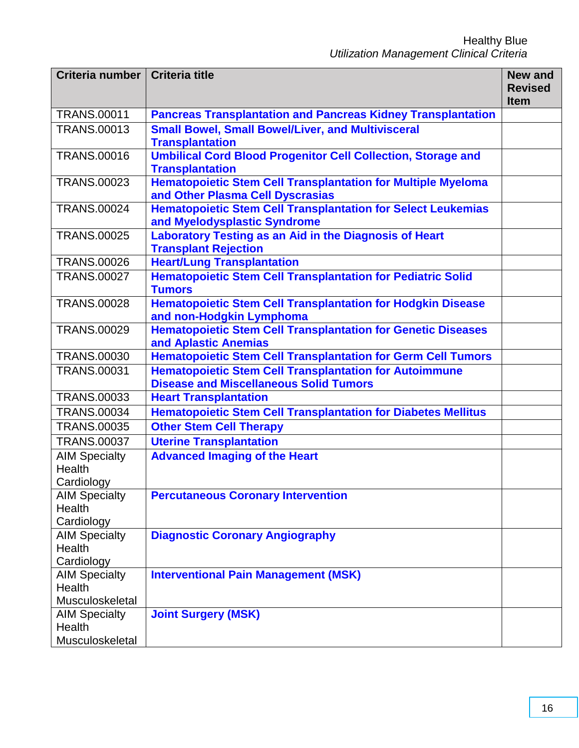| Criteria number   Criteria title             |                                                                                                                | <b>New and</b><br><b>Revised</b><br><b>Item</b> |
|----------------------------------------------|----------------------------------------------------------------------------------------------------------------|-------------------------------------------------|
| <b>TRANS.00011</b>                           | <b>Pancreas Transplantation and Pancreas Kidney Transplantation</b>                                            |                                                 |
| <b>TRANS.00013</b>                           | <b>Small Bowel, Small Bowel/Liver, and Multivisceral</b><br><b>Transplantation</b>                             |                                                 |
| <b>TRANS.00016</b>                           | <b>Umbilical Cord Blood Progenitor Cell Collection, Storage and</b><br><b>Transplantation</b>                  |                                                 |
| <b>TRANS.00023</b>                           | <b>Hematopoietic Stem Cell Transplantation for Multiple Myeloma</b><br>and Other Plasma Cell Dyscrasias        |                                                 |
| <b>TRANS.00024</b>                           | <b>Hematopoietic Stem Cell Transplantation for Select Leukemias</b><br>and Myelodysplastic Syndrome            |                                                 |
| <b>TRANS.00025</b>                           | Laboratory Testing as an Aid in the Diagnosis of Heart<br><b>Transplant Rejection</b>                          |                                                 |
| <b>TRANS.00026</b>                           | <b>Heart/Lung Transplantation</b>                                                                              |                                                 |
| <b>TRANS.00027</b>                           | <b>Hematopoietic Stem Cell Transplantation for Pediatric Solid</b><br><b>Tumors</b>                            |                                                 |
| <b>TRANS.00028</b>                           | <b>Hematopoietic Stem Cell Transplantation for Hodgkin Disease</b><br>and non-Hodgkin Lymphoma                 |                                                 |
| <b>TRANS.00029</b>                           | <b>Hematopoietic Stem Cell Transplantation for Genetic Diseases</b><br>and Aplastic Anemias                    |                                                 |
| <b>TRANS.00030</b>                           | <b>Hematopoietic Stem Cell Transplantation for Germ Cell Tumors</b>                                            |                                                 |
| <b>TRANS.00031</b>                           | <b>Hematopoietic Stem Cell Transplantation for Autoimmune</b><br><b>Disease and Miscellaneous Solid Tumors</b> |                                                 |
| <b>TRANS.00033</b>                           | <b>Heart Transplantation</b>                                                                                   |                                                 |
| <b>TRANS.00034</b>                           | <b>Hematopoietic Stem Cell Transplantation for Diabetes Mellitus</b>                                           |                                                 |
| <b>TRANS.00035</b>                           | <b>Other Stem Cell Therapy</b>                                                                                 |                                                 |
| <b>TRANS.00037</b>                           | <b>Uterine Transplantation</b>                                                                                 |                                                 |
| <b>AIM Specialty</b><br>Health<br>Cardiology | <b>Advanced Imaging of the Heart</b>                                                                           |                                                 |
| <b>AIM Specialty</b><br>Health<br>Cardiology | <b>Percutaneous Coronary Intervention</b>                                                                      |                                                 |
| <b>AIM Specialty</b>                         | <b>Diagnostic Coronary Angiography</b>                                                                         |                                                 |
| Health                                       |                                                                                                                |                                                 |
| Cardiology                                   |                                                                                                                |                                                 |
| <b>AIM Specialty</b>                         | <b>Interventional Pain Management (MSK)</b>                                                                    |                                                 |
| Health                                       |                                                                                                                |                                                 |
| Musculoskeletal                              |                                                                                                                |                                                 |
| <b>AIM Specialty</b>                         | <b>Joint Surgery (MSK)</b>                                                                                     |                                                 |
| Health                                       |                                                                                                                |                                                 |
| Musculoskeletal                              |                                                                                                                |                                                 |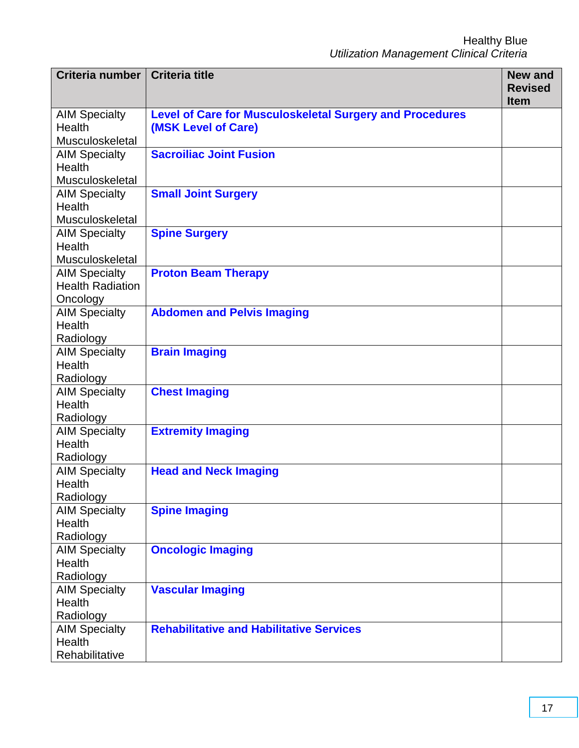| <b>Criteria number</b>  | <b>Criteria title</b>                                           | <b>New and</b><br><b>Revised</b> |
|-------------------------|-----------------------------------------------------------------|----------------------------------|
|                         |                                                                 | <b>Item</b>                      |
| <b>AIM Specialty</b>    | <b>Level of Care for Musculoskeletal Surgery and Procedures</b> |                                  |
| Health                  | (MSK Level of Care)                                             |                                  |
| Musculoskeletal         |                                                                 |                                  |
| <b>AIM Specialty</b>    | <b>Sacroiliac Joint Fusion</b>                                  |                                  |
| <b>Health</b>           |                                                                 |                                  |
| Musculoskeletal         |                                                                 |                                  |
| <b>AIM Specialty</b>    | <b>Small Joint Surgery</b>                                      |                                  |
| Health                  |                                                                 |                                  |
| Musculoskeletal         |                                                                 |                                  |
| <b>AIM Specialty</b>    | <b>Spine Surgery</b>                                            |                                  |
| Health                  |                                                                 |                                  |
| Musculoskeletal         |                                                                 |                                  |
| <b>AIM Specialty</b>    | <b>Proton Beam Therapy</b>                                      |                                  |
| <b>Health Radiation</b> |                                                                 |                                  |
| Oncology                |                                                                 |                                  |
| <b>AIM Specialty</b>    | <b>Abdomen and Pelvis Imaging</b>                               |                                  |
| <b>Health</b>           |                                                                 |                                  |
| Radiology               |                                                                 |                                  |
| <b>AIM Specialty</b>    | <b>Brain Imaging</b>                                            |                                  |
| <b>Health</b>           |                                                                 |                                  |
| Radiology               |                                                                 |                                  |
| <b>AIM Specialty</b>    | <b>Chest Imaging</b>                                            |                                  |
| <b>Health</b>           |                                                                 |                                  |
| Radiology               |                                                                 |                                  |
| <b>AIM Specialty</b>    | <b>Extremity Imaging</b>                                        |                                  |
| <b>Health</b>           |                                                                 |                                  |
| Radiology               |                                                                 |                                  |
| <b>AIM Specialty</b>    | <b>Head and Neck Imaging</b>                                    |                                  |
| Health                  |                                                                 |                                  |
| Radiology               |                                                                 |                                  |
| <b>AIM Specialty</b>    | <b>Spine Imaging</b>                                            |                                  |
| <b>Health</b>           |                                                                 |                                  |
| Radiology               |                                                                 |                                  |
| <b>AIM Specialty</b>    | <b>Oncologic Imaging</b>                                        |                                  |
| Health                  |                                                                 |                                  |
| Radiology               |                                                                 |                                  |
| <b>AIM Specialty</b>    | <b>Vascular Imaging</b>                                         |                                  |
| <b>Health</b>           |                                                                 |                                  |
| Radiology               | <b>Rehabilitative and Habilitative Services</b>                 |                                  |
| <b>AIM Specialty</b>    |                                                                 |                                  |
| Health                  |                                                                 |                                  |
| Rehabilitative          |                                                                 |                                  |